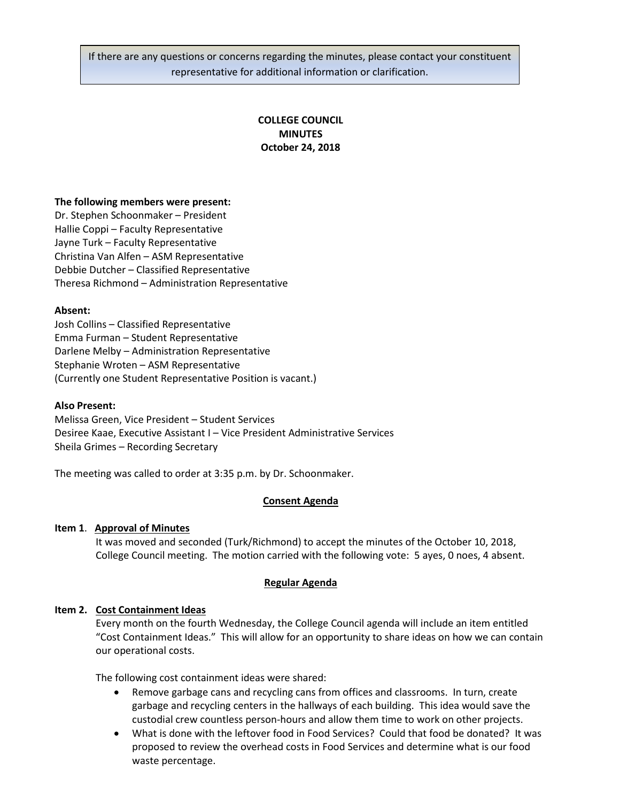If there are any questions or concerns regarding the minutes, please contact your constituent representative for additional information or clarification.

# **COLLEGE COUNCIL MINUTES October 24, 2018**

### **The following members were present:**

Dr. Stephen Schoonmaker – President Hallie Coppi – Faculty Representative Jayne Turk – Faculty Representative Christina Van Alfen – ASM Representative Debbie Dutcher – Classified Representative Theresa Richmond – Administration Representative

### **Absent:**

Josh Collins – Classified Representative Emma Furman – Student Representative Darlene Melby – Administration Representative Stephanie Wroten – ASM Representative (Currently one Student Representative Position is vacant.)

### **Also Present:**

Melissa Green, Vice President – Student Services Desiree Kaae, Executive Assistant I – Vice President Administrative Services Sheila Grimes – Recording Secretary

The meeting was called to order at 3:35 p.m. by Dr. Schoonmaker.

# **Consent Agenda**

### **Item 1**. **Approval of Minutes**

It was moved and seconded (Turk/Richmond) to accept the minutes of the October 10, 2018, College Council meeting. The motion carried with the following vote: 5 ayes, 0 noes, 4 absent.

# **Regular Agenda**

# **Item 2. Cost Containment Ideas**

Every month on the fourth Wednesday, the College Council agenda will include an item entitled "Cost Containment Ideas." This will allow for an opportunity to share ideas on how we can contain our operational costs.

The following cost containment ideas were shared:

- Remove garbage cans and recycling cans from offices and classrooms. In turn, create garbage and recycling centers in the hallways of each building. This idea would save the custodial crew countless person-hours and allow them time to work on other projects.
- What is done with the leftover food in Food Services? Could that food be donated? It was proposed to review the overhead costs in Food Services and determine what is our food waste percentage.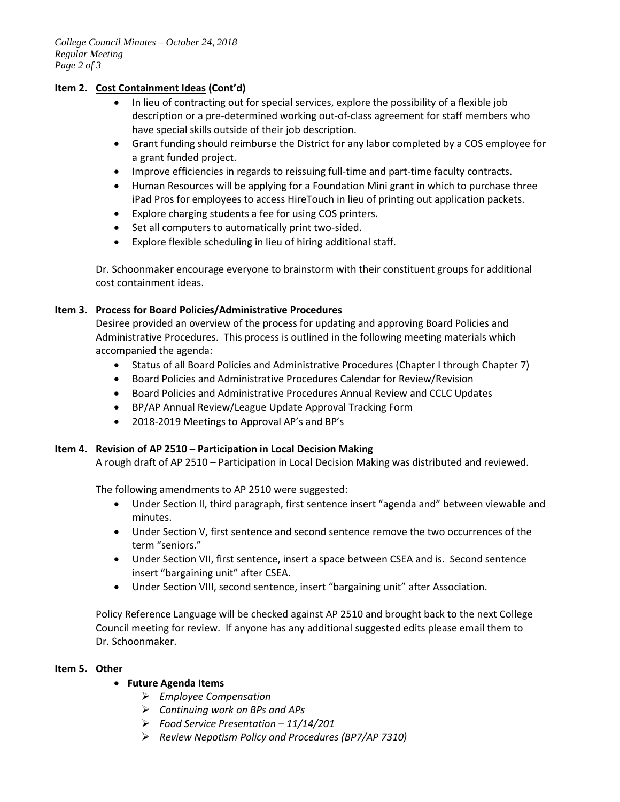# **Item 2. Cost Containment Ideas (Cont'd)**

- In lieu of contracting out for special services, explore the possibility of a flexible job description or a pre-determined working out-of-class agreement for staff members who have special skills outside of their job description.
- Grant funding should reimburse the District for any labor completed by a COS employee for a grant funded project.
- Improve efficiencies in regards to reissuing full-time and part-time faculty contracts.
- Human Resources will be applying for a Foundation Mini grant in which to purchase three iPad Pros for employees to access HireTouch in lieu of printing out application packets.
- Explore charging students a fee for using COS printers.
- Set all computers to automatically print two-sided.
- Explore flexible scheduling in lieu of hiring additional staff.

Dr. Schoonmaker encourage everyone to brainstorm with their constituent groups for additional cost containment ideas.

# **Item 3. Process for Board Policies/Administrative Procedures**

Desiree provided an overview of the process for updating and approving Board Policies and Administrative Procedures. This process is outlined in the following meeting materials which accompanied the agenda:

- Status of all Board Policies and Administrative Procedures (Chapter I through Chapter 7)
- Board Policies and Administrative Procedures Calendar for Review/Revision
- Board Policies and Administrative Procedures Annual Review and CCLC Updates
- BP/AP Annual Review/League Update Approval Tracking Form
- 2018-2019 Meetings to Approval AP's and BP's

# **Item 4. Revision of AP 2510 – Participation in Local Decision Making**

A rough draft of AP 2510 – Participation in Local Decision Making was distributed and reviewed.

The following amendments to AP 2510 were suggested:

- Under Section II, third paragraph, first sentence insert "agenda and" between viewable and minutes.
- Under Section V, first sentence and second sentence remove the two occurrences of the term "seniors."
- Under Section VII, first sentence, insert a space between CSEA and is. Second sentence insert "bargaining unit" after CSEA.
- Under Section VIII, second sentence, insert "bargaining unit" after Association.

Policy Reference Language will be checked against AP 2510 and brought back to the next College Council meeting for review. If anyone has any additional suggested edits please email them to Dr. Schoonmaker.

# **Item 5. Other**

# • **Future Agenda Items**

- *Employee Compensation*
- *Continuing work on BPs and APs*
- *Food Service Presentation – 11/14/201*
- *Review Nepotism Policy and Procedures (BP7/AP 7310)*